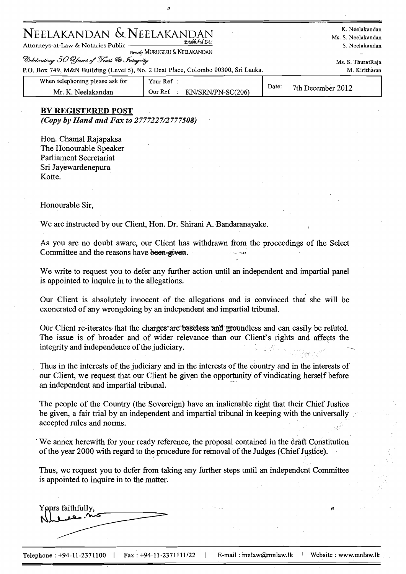## NEELAKANDAN & NEELAKANDAN K. Neelakandan K. Neelakandan

Em6Gshed1962 Attorneys-at-Law & Notaries Public S. Neelakandan *Formerly* **MURUGESU & NEELAKANDAN** 

@a95O@&m4TZ @.A- Ms. **S.** ThuraiRaja

P.O. Box 749, M&N Building (Level 5), No. 2 Deal Place, Colombo 00300, Sri Lanka. M. Kiritharan

Ó

| When telephoning please ask for | Your Ref                     | Date: | 7th December 2012 |
|---------------------------------|------------------------------|-------|-------------------|
| Mr. K. Neelakandan              | KN/SRN/PN-SC(206)<br>Our Ref |       |                   |

#### **BY REGISTERED POST**

*(Copy by Hand and* **Fax** *to* **2 77722 7/2 777508)** 

Hon. Chamal Rajapaksa The Honourable Speaker Parliament Secretariat Sri Jayewardenepura. Kotte.

Honourable Sir,

We are instructed by our Client, Hon. Dr. Shirani **A.** Bandaranayake.

As you are no doubt aware, our Client has withdrawn from the proceedings of the Select Committee and the reasons have been-given.

We write to request you to defer any further action until an independent and impartial panel is appointed to inquire in to the allegations.

Our Client is absolutely innocent of the allegations and is convinced that she will be exonerated of any wrongdoing by an independent and impartial tribunal.

Our Client re-iterates that the charges are baseless and groundless and can easily be refuted. The issue is of broader and of wider relevance than our Client's rights and affects the Our Client is absolutely innocent of the allegations and is convinced that she will be exonerated of any wrongdoing by an independent and impartial tribunal.<br>Our Client re-iterates that the charges are baseless and groundl

Thus in the interests of the judiciary and in the interests of the country and in the interests of our Client, we request that our Client be given the opportunity of vindicating herself before an independent and impartial tribunal.

The people of the Country (the Sovereign) have an inalienable right that their Chief Justice be given, a fair trial by an independent and impartial tribunal in keeping with the universally accepted rules and norms.

We annex herewith for your ready reference, the proposal contained in the draft Constitution of the year 2000 with regard to the procedure for removal of the Judges (Chief Justice).

Thus, we request you to defer from taking any further steps until an independent Committee is appointed to inquire in to the matter.

Yours faithfully,

Ms. S. Neelakandan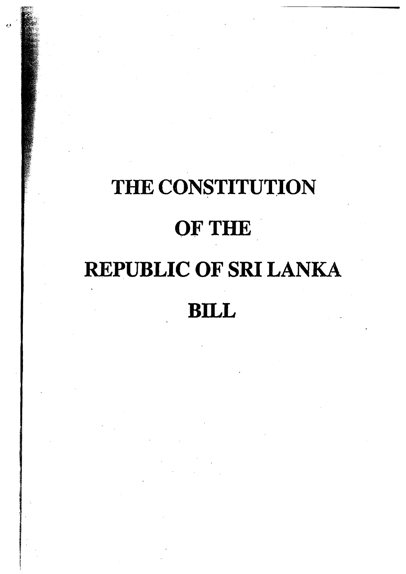# **THE CONSTITUTION OF THE REPUBLIC OF SRI LANKA BILL**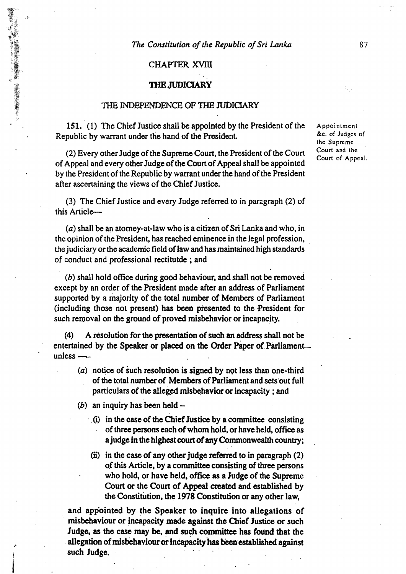#### **CHAPTER** XVIII

#### **THE JUDICIARY**

#### **THE** INDEPENDENCE **OF** THE **~ICIARY**

151. (1) The Chief Justice shall be appointed by the President of the Appointment Republic by warrant under the hand of the President. *&c. of Judges of* 

(2) Every other Judge of the Supreme Court, the President of the Court Court and the Court of Appeal. of Appeal and every other Judge of the Court of Appeal shall be appointed by the President of the Republic by warrant under the hand of the President after ascertaining the views of the Chief Justice.

(3) The Chief Justice and every Judge referred to in parzgraph (2) of this Article-

(a) shall be an atomey-at-law who is a citizen of **Sri** Lanka and who, in the opinion of the President, has reached eminence in the legal profession, the judiciary or the academic field of law and has maintained high standards of conduct and professional rectitutde ; and

*(6)* shall hold office during good behaviour, and shall not be removed except by an order of the President made after an address of Parliament supported by a majority of the total number of Members of Parliament (including those not present) has been presented to the President for such removal on the ground of proved misbehavior or incapacity.

**(4)** A resolution for the presentation of such **an** address shall not be entertained by the Speaker or placed on the Order Paper of Parliament... (4) A reso<br>entertained by the unless -

- $(a)$  notice of such resolution is signed by not less than one-third of the total number of Members of Parliament and sets'out full particulars of the alleged misbehavior or incapacity; and
- 
- (b) an inquiry has been held -<br>(i) in the case of the Chief Justice by a committee consisting . of three persons each of whom hold, or have held, office as a judge in the highest court of any Commonwealth country;
	- **(ii)** in the case of any other judge referred to in paragraph (2) of this Article, by a committee consisting of three persons who hold, or have held, office as a Judge of the Supreme Court or the Court of Appeal created and established by the Constitution, the 1978 Constitution or any other law,

and appointed by the Speaker to inquire into allegations of misbehaviour or incapacity made against the Chief Justice or such Judge, as the case may **be,** and such **committee** has folind that the allegation of misbehaviour or incapacity has been established against such Judge.

**the** Supreme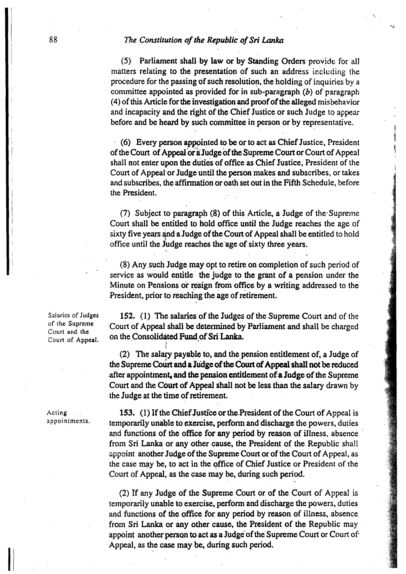#### I 8 8 **The Constitution of** *the Republic* **of Sri Lanka**

<sup>I</sup>(5) Parliament shall by **law** or by Standing Orders provide; for all matters relating to the presentation of such an address including the procedure for the passing of such resolution, the holding of inquiries by a committee appointed as provided for in sub-paragraph  $(b)$  of paragraph (4) of this Article for the investigation and proof of the alleged mis'oehavior and incapacity and the right of the Chief Justice or such Judge to appear before and be heard by such committee in person or by representative.

ŧΔ.

(6) Every person appointed to be or to act as Chief Justice, President of the Court of Appeal or a Judge of the Supreme Court or Court of Appeal shall not enter upon the duties of office as Chief Justice, President of the Court of Appeal or Judge until the person makes and subscribes, or takes and subscribes, the affirmation or oath set out in the Fifth Schedule, before the President.

(7) Subject to paragraph (8) of this Article, a Judge of the-Supreme Court shall be entitled to hold office until the Judge reaches the age of sixty five years and a Judge of the Court of Appeal shall be entitled to hold office until the judge reaches the age of sixty three years.

(8) Any such Judge may opt to retire on completion of such period of service as would entitle the judge to the grant of a pension under the Minute on Pensions or resign from office by a writing addressed to the President, prior to reaching the age of retirement.

Salaries of Judges **152.** (1) The salaries of the Judges of the Supreme Court and of the of the Supreme Court of Anneal shall be determined by Parliament and shall be obarged of the Supreme Court of Appeal shall be determined by Parliament and shall be charged<br>Court and the consolidated Fund of Sri Lanka. on the Consolidated Fund of Sri Lanka.

> (2) The salary payable **to,** and the pension entitlement of, a Judge of the Supreme Court and a Judge of the Court of Appeal shall not be reduced .after appointment, and the pension entitlement of a Judge of the Supreme Court and the Court of Appeal shall not be less than the **salary** drawn by the Judge at the time of retirement.

Acting **153.** (1) If the Chief Justice or the President of the Court of Appeal is<br>appointments. **temporarily unable to exercise, perform and discharge the powers duties** temporarily unable to exercise, perform and discharge the powers, duties and functions of the office for any period by reason of illness. absence from Sri Lanka or any other cause, the President of the Republic shall appoint another Judge of the Supreme Court or of the Court of Appeal, as the case may be, to act in the office of Chief Justice or President of the Court of Appeal, as the case may be, during such period.

> (2) If any Judge of the Supreme Court or of the Court of Appeal is temporarily unable to exercise, perform and discharge the powers, duties and functions of the office for any period by reason of illness, absence from **Sri** Lanka or any other cause, the President of the Republic may appoint another person to act as a Judge of the Supreme Court or Court of. Appeal, as the case may be, during such period.

I I

I

I